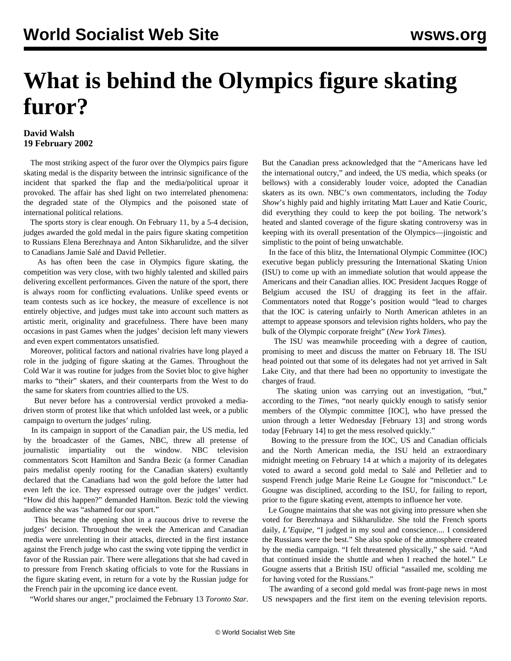## **What is behind the Olympics figure skating furor?**

## **David Walsh 19 February 2002**

 The most striking aspect of the furor over the Olympics pairs figure skating medal is the disparity between the intrinsic significance of the incident that sparked the flap and the media/political uproar it provoked. The affair has shed light on two interrelated phenomena: the degraded state of the Olympics and the poisoned state of international political relations.

 The sports story is clear enough. On February 11, by a 5-4 decision, judges awarded the gold medal in the pairs figure skating competition to Russians Elena Berezhnaya and Anton Sikharulidze, and the silver to Canadians Jamie Salé and David Pelletier.

 As has often been the case in Olympics figure skating, the competition was very close, with two highly talented and skilled pairs delivering excellent performances. Given the nature of the sport, there is always room for conflicting evaluations. Unlike speed events or team contests such as ice hockey, the measure of excellence is not entirely objective, and judges must take into account such matters as artistic merit, originality and gracefulness. There have been many occasions in past Games when the judges' decision left many viewers and even expert commentators unsatisfied.

 Moreover, political factors and national rivalries have long played a role in the judging of figure skating at the Games. Throughout the Cold War it was routine for judges from the Soviet bloc to give higher marks to "their" skaters, and their counterparts from the West to do the same for skaters from countries allied to the US.

 But never before has a controversial verdict provoked a mediadriven storm of protest like that which unfolded last week, or a public campaign to overturn the judges' ruling.

 In its campaign in support of the Canadian pair, the US media, led by the broadcaster of the Games, NBC, threw all pretense of journalistic impartiality out the window. NBC television commentators Scott Hamilton and Sandra Bezic (a former Canadian pairs medalist openly rooting for the Canadian skaters) exultantly declared that the Canadians had won the gold before the latter had even left the ice. They expressed outrage over the judges' verdict. "How did this happen?" demanded Hamilton. Bezic told the viewing audience she was "ashamed for our sport."

 This became the opening shot in a raucous drive to reverse the judges' decision. Throughout the week the American and Canadian media were unrelenting in their attacks, directed in the first instance against the French judge who cast the swing vote tipping the verdict in favor of the Russian pair. There were allegations that she had caved in to pressure from French skating officials to vote for the Russians in the figure skating event, in return for a vote by the Russian judge for the French pair in the upcoming ice dance event.

"World shares our anger," proclaimed the February 13 *Toronto Star*.

But the Canadian press acknowledged that the "Americans have led the international outcry," and indeed, the US media, which speaks (or bellows) with a considerably louder voice, adopted the Canadian skaters as its own. NBC's own commentators, including the *Today Show*'s highly paid and highly irritating Matt Lauer and Katie Couric, did everything they could to keep the pot boiling. The network's heated and slanted coverage of the figure skating controversy was in keeping with its overall presentation of the Olympics—jingoistic and simplistic to the point of being unwatchable.

 In the face of this blitz, the International Olympic Committee (IOC) executive began publicly pressuring the International Skating Union (ISU) to come up with an immediate solution that would appease the Americans and their Canadian allies. IOC President Jacques Rogge of Belgium accused the ISU of dragging its feet in the affair. Commentators noted that Rogge's position would "lead to charges that the IOC is catering unfairly to North American athletes in an attempt to appease sponsors and television rights holders, who pay the bulk of the Olympic corporate freight" (*New York Times*).

 The ISU was meanwhile proceeding with a degree of caution, promising to meet and discuss the matter on February 18. The ISU head pointed out that some of its delegates had not yet arrived in Salt Lake City, and that there had been no opportunity to investigate the charges of fraud.

 The skating union was carrying out an investigation, "but," according to the *Times*, "not nearly quickly enough to satisfy senior members of the Olympic committee [IOC], who have pressed the union through a letter Wednesday [February 13] and strong words today [February 14] to get the mess resolved quickly."

 Bowing to the pressure from the IOC, US and Canadian officials and the North American media, the ISU held an extraordinary midnight meeting on February 14 at which a majority of its delegates voted to award a second gold medal to Salé and Pelletier and to suspend French judge Marie Reine Le Gougne for "misconduct." Le Gougne was disciplined, according to the ISU, for failing to report, prior to the figure skating event, attempts to influence her vote.

 Le Gougne maintains that she was not giving into pressure when she voted for Berezhnaya and Sikharulidze. She told the French sports daily, *L'Equipe*, "I judged in my soul and conscience.... I considered the Russians were the best." She also spoke of the atmosphere created by the media campaign. "I felt threatened physically," she said. "And that continued inside the shuttle and when I reached the hotel." Le Gougne asserts that a British ISU official "assailed me, scolding me for having voted for the Russians."

 The awarding of a second gold medal was front-page news in most US newspapers and the first item on the evening television reports.